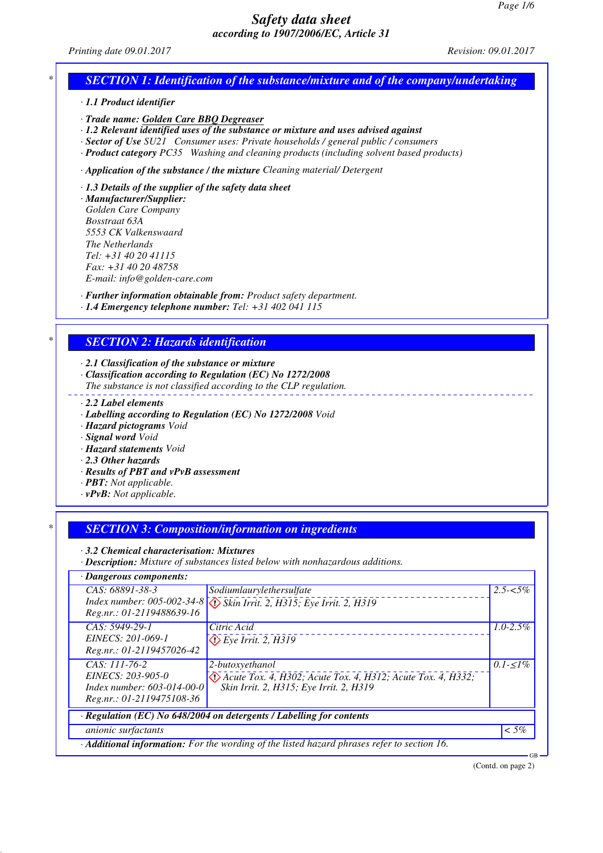*Printing date 09.01.2017 Revision: 09.01.2017*

# *SECTION 1: Identification of the substance/mixture and of the company/undertaking*

*· 1.1 Product identifier*

*· Trade name: Golden Care BBQ Degreaser*

*· 1.2 Relevant identified uses of the substance or mixture and uses advised against*

*· Sector of Use SU21 Consumer uses: Private households / general public / consumers*

*· Product category PC35 Washing and cleaning products (including solvent based products)*

*· Application of the substance / the mixture Cleaning material/ Detergent*

*· 1.3 Details of the supplier of the safety data sheet*

*· Manufacturer/Supplier: Golden Care Company Bosstraat 63A 5553 CK Valkenswaard The Netherlands Tel: +31 40 20 41115 Fax: +31 40 20 48758 E-mail: info@golden-care.com*

*· Further information obtainable from: Product safety department. · 1.4 Emergency telephone number: Tel: +31 402 041 115*

# *\* SECTION 2: Hazards identification*

*· 2.1 Classification of the substance or mixture*

*· Classification according to Regulation (EC) No 1272/2008*

*The substance is not classified according to the CLP regulation.*

- *· 2.2 Label elements*
- *· Labelling according to Regulation (EC) No 1272/2008 Void*
- *· Hazard pictograms Void*
- *· Signal word Void*

*· Hazard statements Void*

- *· 2.3 Other hazards*
- *· Results of PBT and vPvB assessment*
- *· PBT: Not applicable.*
- *· vPvB: Not applicable.*

# *\* SECTION 3: Composition/information on ingredients*

*· 3.2 Chemical characterisation: Mixtures*

*· Description: Mixture of substances listed below with nonhazardous additions.*

| · Dangerous components:                                                                                |                                                                                      |               |  |  |
|--------------------------------------------------------------------------------------------------------|--------------------------------------------------------------------------------------|---------------|--|--|
| CAS: 68891-38-3                                                                                        | Sodiumlaurylethersulfate                                                             | $2.5 - 5\%$   |  |  |
|                                                                                                        | Index number: 005-002-34-8 $\sqrt{\sqrt{2}}$ Skin Irrit. 2, H315; Eye Irrit. 2, H319 |               |  |  |
| Reg.nr.: 01-2119488639-16                                                                              |                                                                                      |               |  |  |
| $CAS: 5949-29-1$                                                                                       | Citric Acid                                                                          | $1.0 - 2.5\%$ |  |  |
| EINECS: 201-069-1                                                                                      | $\bigotimes$ Eye Irrit. 2, H319                                                      |               |  |  |
| Reg.nr.: 01-2119457026-42                                                                              |                                                                                      |               |  |  |
| CAS: 111-76-2                                                                                          | 2-butoxyethanol                                                                      | $0.1 - 1\%$   |  |  |
| EINECS: 203-905-0                                                                                      | $\Diamond$ Acute Tox. 4, H302; Acute Tox. 4, H312; Acute Tox. 4, H332;               |               |  |  |
| Index number: $603-014-00-0$                                                                           | Skin Irrit. 2, H315; Eye Irrit. 2, H319                                              |               |  |  |
| Reg.nr.: 01-2119475108-36                                                                              |                                                                                      |               |  |  |
| · Regulation (EC) No 648/2004 on detergents / Labelling for contents                                   |                                                                                      |               |  |  |
| <i>anionic surfactants</i>                                                                             |                                                                                      | $<$ 5%        |  |  |
| Additional information: For the wording of the listed hazard phrases refer to section 16.<br><b>GB</b> |                                                                                      |               |  |  |
|                                                                                                        |                                                                                      |               |  |  |

(Contd. on page 2)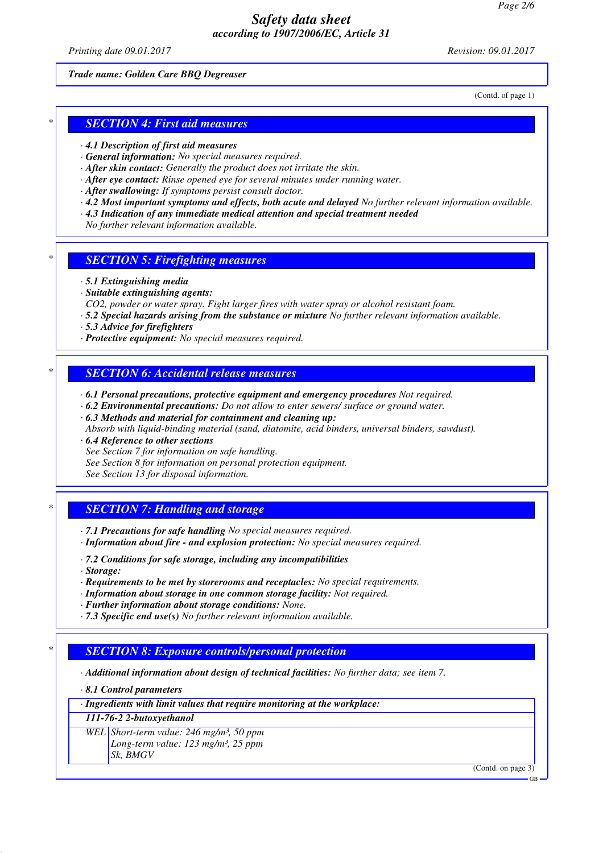*Printing date 09.01.2017 Revision: 09.01.2017*

### *Trade name: Golden Care BBQ Degreaser*

(Contd. of page 1)

## *\* SECTION 4: First aid measures*

- *· 4.1 Description of first aid measures*
- *· General information: No special measures required.*
- *· After skin contact: Generally the product does not irritate the skin.*
- *· After eye contact: Rinse opened eye for several minutes under running water.*
- *· After swallowing: If symptoms persist consult doctor.*
- *· 4.2 Most important symptoms and effects, both acute and delayed No further relevant information available.*
- *· 4.3 Indication of any immediate medical attention and special treatment needed*
- *No further relevant information available.*

### *\* SECTION 5: Firefighting measures*

- *· 5.1 Extinguishing media*
- *· Suitable extinguishing agents:*
- *CO2, powder or water spray. Fight larger fires with water spray or alcohol resistant foam.*
- *· 5.2 Special hazards arising from the substance or mixture No further relevant information available.*
- *· 5.3 Advice for firefighters*
- *· Protective equipment: No special measures required.*

## *\* SECTION 6: Accidental release measures*

- *· 6.1 Personal precautions, protective equipment and emergency procedures Not required.*
- *· 6.2 Environmental precautions: Do not allow to enter sewers/ surface or ground water.*
- *· 6.3 Methods and material for containment and cleaning up:*
- *Absorb with liquid-binding material (sand, diatomite, acid binders, universal binders, sawdust).*
- *· 6.4 Reference to other sections*
- *See Section 7 for information on safe handling.*
- *See Section 8 for information on personal protection equipment.*
- *See Section 13 for disposal information.*

### *\* SECTION 7: Handling and storage*

*· 7.1 Precautions for safe handling No special measures required.*

- *· Information about fire and explosion protection: No special measures required.*
- *· 7.2 Conditions for safe storage, including any incompatibilities*
- *· Storage:*
- *· Requirements to be met by storerooms and receptacles: No special requirements.*
- *· Information about storage in one common storage facility: Not required.*
- *· Further information about storage conditions: None.*
- *· 7.3 Specific end use(s) No further relevant information available.*

#### *\* SECTION 8: Exposure controls/personal protection*

*· Additional information about design of technical facilities: No further data; see item 7.*

- *· 8.1 Control parameters*
- *· Ingredients with limit values that require monitoring at the workplace:*

*111-76-2 2-butoxyethanol*

*WEL Short-term value: 246 mg/m³, 50 ppm Long-term value: 123 mg/m³, 25 ppm Sk, BMGV*

(Contd. on page 3)

GB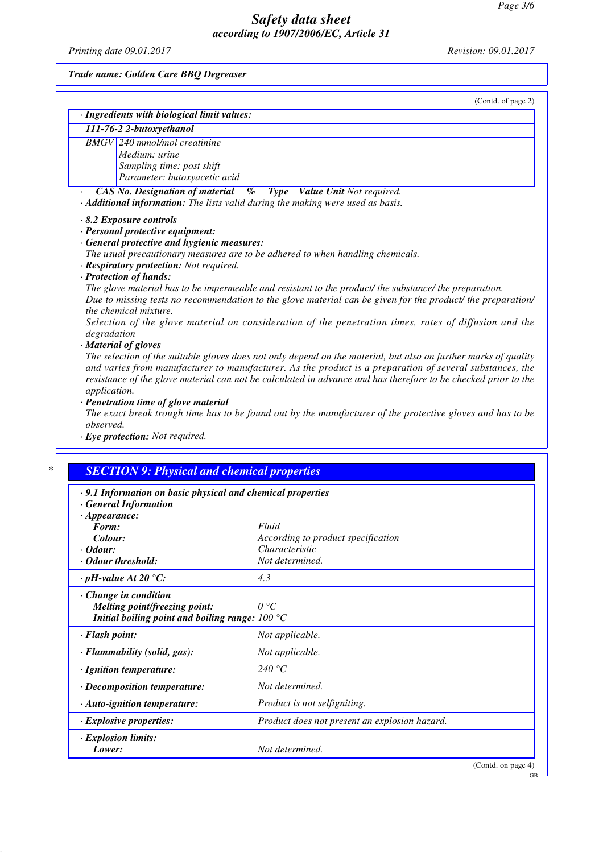*Printing date 09.01.2017 Revision: 09.01.2017*

*Trade name: Golden Care BBQ Degreaser*

|                          | (Contd. of page 2)                                                                                                                                                                                                              |  |  |  |
|--------------------------|---------------------------------------------------------------------------------------------------------------------------------------------------------------------------------------------------------------------------------|--|--|--|
|                          | · Ingredients with biological limit values:                                                                                                                                                                                     |  |  |  |
| 111-76-2 2-butoxyethanol |                                                                                                                                                                                                                                 |  |  |  |
|                          | <b>BMGV</b> 240 mmol/mol creatinine                                                                                                                                                                                             |  |  |  |
|                          | Medium: urine                                                                                                                                                                                                                   |  |  |  |
|                          | Sampling time: post shift                                                                                                                                                                                                       |  |  |  |
|                          | Parameter: butoxyacetic acid                                                                                                                                                                                                    |  |  |  |
|                          | <b>CAS No. Designation of material</b> % Type Value Unit Not required.                                                                                                                                                          |  |  |  |
|                          | $\cdot$ <b>Additional information:</b> The lists valid during the making were used as basis.                                                                                                                                    |  |  |  |
|                          | $\cdot$ 8.2 Exposure controls                                                                                                                                                                                                   |  |  |  |
|                          | · Personal protective equipment:                                                                                                                                                                                                |  |  |  |
|                          | · General protective and hygienic measures:                                                                                                                                                                                     |  |  |  |
|                          | The usual precautionary measures are to be adhered to when handling chemicals.                                                                                                                                                  |  |  |  |
|                          | · Respiratory protection: Not required.                                                                                                                                                                                         |  |  |  |
|                          | · Protection of hands:                                                                                                                                                                                                          |  |  |  |
|                          | The glove material has to be impermeable and resistant to the product/ the substance/ the preparation.                                                                                                                          |  |  |  |
|                          | Due to missing tests no recommendation to the glove material can be given for the product/ the preparation/                                                                                                                     |  |  |  |
|                          | <i>the chemical mixture.</i>                                                                                                                                                                                                    |  |  |  |
|                          | Selection of the glove material on consideration of the penetration times, rates of diffusion and the                                                                                                                           |  |  |  |
| degradation              |                                                                                                                                                                                                                                 |  |  |  |
|                          | · Material of gloves                                                                                                                                                                                                            |  |  |  |
|                          | $\tau$ , and the second of the contradition of the second contradition of the contradition of $f$ , $f$ , $f$ , $f$ , $f$ , $f$ , $f$ , $f$ , $f$ , $f$ , $f$ , $f$ , $f$ , $f$ , $f$ , $f$ , $f$ , $f$ , $f$ , $f$ , $f$ , $f$ |  |  |  |

*The selection of the suitable gloves does not only depend on the material, but also on further marks of quality and varies from manufacturer to manufacturer. As the product is a preparation of several substances, the resistance of the glove material can not be calculated in advance and has therefore to be checked prior to the application.*

*· Penetration time of glove material*

*The exact break trough time has to be found out by the manufacturer of the protective gloves and has to be observed.*

*· Eye protection: Not required.*

| .9.1 Information on basic physical and chemical properties |                                               |  |
|------------------------------------------------------------|-----------------------------------------------|--|
| <b>General Information</b><br>$\cdot$ Appearance:          |                                               |  |
| Form:                                                      | Fluid                                         |  |
| Colour:                                                    | According to product specification            |  |
| · Odour:                                                   | Characteristic                                |  |
| Odour threshold:                                           | Not determined.                               |  |
| $\cdot$ pH-value At 20 °C:                                 | 4.3                                           |  |
| Change in condition                                        |                                               |  |
| Melting point/freezing point:                              | $0^{\circ}C$                                  |  |
| Initial boiling point and boiling range: $100 °C$          |                                               |  |
| · Flash point:                                             | Not applicable.                               |  |
| · Flammability (solid, gas):                               | Not applicable.                               |  |
| · Ignition temperature:                                    | 240 °C                                        |  |
| · Decomposition temperature:                               | Not determined.                               |  |
| · Auto-ignition temperature:                               | Product is not selfigniting.                  |  |
| $\cdot$ Explosive properties:                              | Product does not present an explosion hazard. |  |
| · Explosion limits:                                        |                                               |  |
| Lower:                                                     | Not determined.                               |  |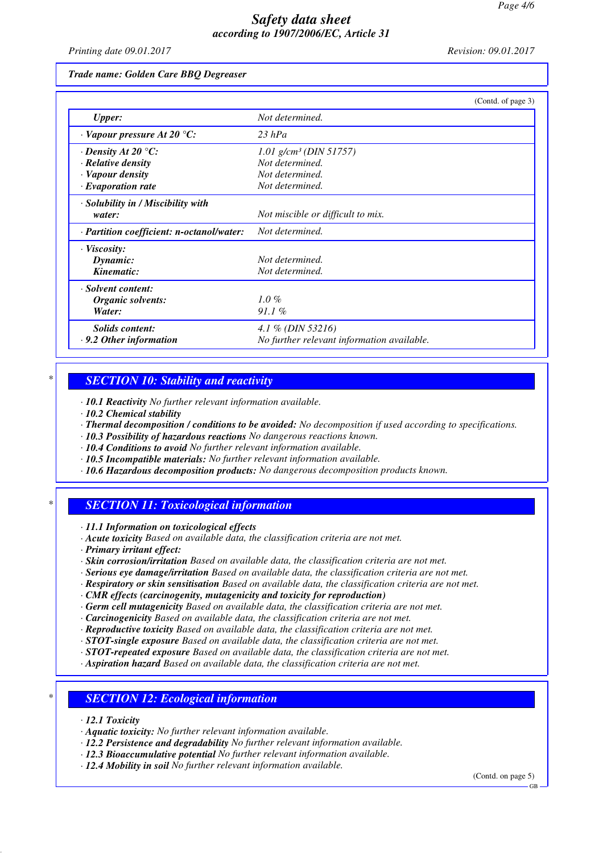*Printing date 09.01.2017 Revision: 09.01.2017*

*Trade name: Golden Care BBQ Degreaser*

|                                                 | (Contd. of page 3)                         |
|-------------------------------------------------|--------------------------------------------|
| <b>Upper:</b>                                   | Not determined.                            |
| $\cdot$ Vapour pressure At 20 $\degree$ C:      | $23$ hPa                                   |
| $\cdot$ Density At 20 °C:                       | 1.01 $g/cm^3$ (DIN 51757)                  |
| $\cdot$ Relative density                        | Not determined.                            |
| · Vapour density                                | Not determined.                            |
| $\cdot$ Evaporation rate                        | Not determined.                            |
| · Solubility in / Miscibility with              |                                            |
| water:                                          | Not miscible or difficult to mix.          |
| $\cdot$ Partition coefficient: n-octanol/water: | Not determined.                            |
| $\cdot$ Viscosity:                              |                                            |
| Dynamic:                                        | Not determined.                            |
| Kinematic:                                      | Not determined.                            |
| · Solvent content:                              |                                            |
| Organic solvents:                               | $1.0\%$                                    |
| Water:                                          | $91.1\%$                                   |
| Solids content:                                 | 4.1 % (DIN 53216)                          |
| $\cdot$ 9.2 Other information                   | No further relevant information available. |

### *\* SECTION 10: Stability and reactivity*

*· 10.1 Reactivity No further relevant information available.*

*· 10.2 Chemical stability*

*· Thermal decomposition / conditions to be avoided: No decomposition if used according to specifications.*

- *· 10.3 Possibility of hazardous reactions No dangerous reactions known.*
- *· 10.4 Conditions to avoid No further relevant information available.*
- *· 10.5 Incompatible materials: No further relevant information available.*
- *· 10.6 Hazardous decomposition products: No dangerous decomposition products known.*

# *\* SECTION 11: Toxicological information*

*· 11.1 Information on toxicological effects*

- *· Acute toxicity Based on available data, the classification criteria are not met.*
- *· Primary irritant effect:*
- *· Skin corrosion/irritation Based on available data, the classification criteria are not met.*
- *· Serious eye damage/irritation Based on available data, the classification criteria are not met.*
- *· Respiratory or skin sensitisation Based on available data, the classification criteria are not met.*
- *· CMR effects (carcinogenity, mutagenicity and toxicity for reproduction)*
- *· Germ cell mutagenicity Based on available data, the classification criteria are not met.*
- *· Carcinogenicity Based on available data, the classification criteria are not met.*
- *· Reproductive toxicity Based on available data, the classification criteria are not met.*

*· STOT-single exposure Based on available data, the classification criteria are not met.*

*· STOT-repeated exposure Based on available data, the classification criteria are not met.*

*· Aspiration hazard Based on available data, the classification criteria are not met.*

## *\* SECTION 12: Ecological information*

*· 12.1 Toxicity*

- *· Aquatic toxicity: No further relevant information available.*
- *· 12.2 Persistence and degradability No further relevant information available.*

*· 12.3 Bioaccumulative potential No further relevant information available.*

*· 12.4 Mobility in soil No further relevant information available.*

(Contd. on page 5)

GB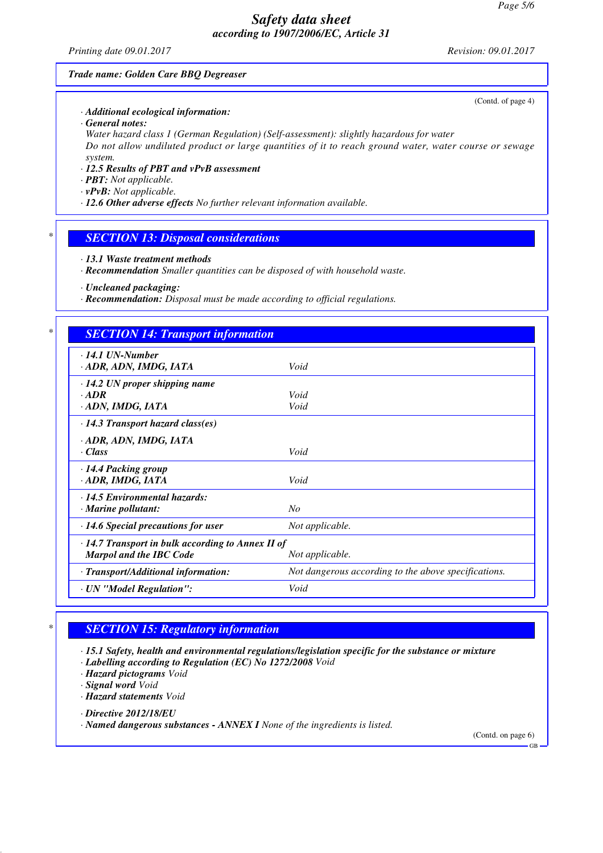*Printing date 09.01.2017 Revision: 09.01.2017*

(Contd. of page 4)

#### *Trade name: Golden Care BBQ Degreaser*

*· Additional ecological information:*

*· General notes:*

*Water hazard class 1 (German Regulation) (Self-assessment): slightly hazardous for water Do not allow undiluted product or large quantities of it to reach ground water, water course or sewage system.*

- *· 12.5 Results of PBT and vPvB assessment*
- *· PBT: Not applicable.*
- *· vPvB: Not applicable.*
- *· 12.6 Other adverse effects No further relevant information available.*

### *\* SECTION 13: Disposal considerations*

- *· 13.1 Waste treatment methods*
- *· Recommendation Smaller quantities can be disposed of with household waste.*

*· Uncleaned packaging:*

*· Recommendation: Disposal must be made according to official regulations.*

### *\* SECTION 14: Transport information*

| $\cdot$ 14.1 UN-Number<br>ADR, ADN, IMDG, IATA          | Void                                                 |  |
|---------------------------------------------------------|------------------------------------------------------|--|
| $\cdot$ 14.2 UN proper shipping name                    |                                                      |  |
| $-ADR$                                                  | Void                                                 |  |
| · ADN, IMDG, IATA                                       | Void                                                 |  |
| $\cdot$ 14.3 Transport hazard class(es)                 |                                                      |  |
| · ADR, ADN, IMDG, IATA                                  |                                                      |  |
| · Class                                                 | Void                                                 |  |
| · 14.4 Packing group                                    |                                                      |  |
| · ADR, IMDG, IATA                                       | Void                                                 |  |
| $\cdot$ 14.5 Environmental hazards:                     |                                                      |  |
| $\cdot$ Marine pollutant:                               | No                                                   |  |
| $\cdot$ 14.6 Special precautions for user               | Not applicable.                                      |  |
| $\cdot$ 14.7 Transport in bulk according to Annex II of |                                                      |  |
| <b>Marpol and the IBC Code</b>                          | Not applicable.                                      |  |
| · Transport/Additional information:                     | Not dangerous according to the above specifications. |  |
| · UN "Model Regulation":                                | Void                                                 |  |
|                                                         |                                                      |  |

# *\* SECTION 15: Regulatory information*

*· 15.1 Safety, health and environmental regulations/legislation specific for the substance or mixture*

*· Labelling according to Regulation (EC) No 1272/2008 Void*

*· Hazard pictograms Void*

*· Signal word Void*

*· Hazard statements Void*

*· Directive 2012/18/EU*

*· Named dangerous substances - ANNEX I None of the ingredients is listed.*

(Contd. on page 6)

GB